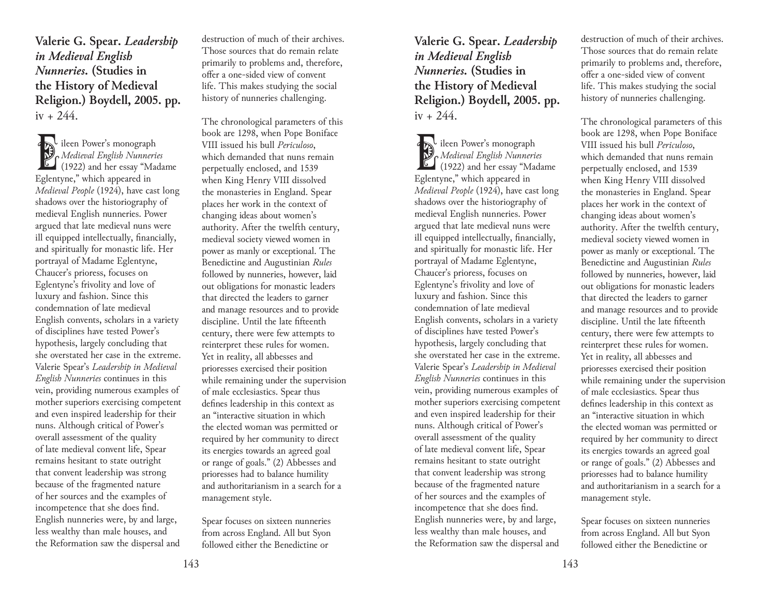**Valerie G. Spear.** *Leadership in Medieval English Nunneries.* **(Studies in the History of Medieval Religion.) Boydell, 2005. pp.**   $iv + 244$ .

Eileen Power's monograph<br>
Medieval English Nunneries<br>
(1922) and her essay "Madame" *Medieval English Nunneries*<br>*Medieval English Nunneries* Eglentyne," which appeared in *Medieval People* (1924), have cast long shadows over the historiography of medieval English nunneries. Power argued that late medieval nuns were ill equipped intellectually, financially, and spiritually for monastic life. Her portrayal of Madame Eglentyne, Chaucer's prioress, focuses on Eglentyne's frivolity and love of luxury and fashion. Since this condemnation of late medieval English convents, scholars in a variety of disciplines have tested Power's hypothesis, largely concluding that she overstated her case in the extreme. Valerie Spear's *Leadership in Medieval English Nunneries* continues in this vein, providing numerous examples of mother superiors exercising competent and even inspired leadership for their nuns. Although critical of Power's overall assessment of the quality of late medieval convent life, Spear remains hesitant to state outright that convent leadership was strong because of the fragmented nature of her sources and the examples of incompetence that she does find. English nunneries were, by and large, less wealthy than male houses, and the Reformation saw the dispersal and

destruction of much of their archives. Those sources that do remain relate primarily to problems and, therefore, offer a one-sided view of convent life. This makes studying the social history of nunneries challenging.

The chronological parameters of this book are 1298, when Pope Boniface VIII issued his bull *Periculoso*, which demanded that nuns remain perpetually enclosed, and 1539 when King Henry VIII dissolved the monasteries in England. Spear places her work in the context of changing ideas about women's authority. After the twelfth century, medieval society viewed women in power as manly or exceptional. The Benedictine and Augustinian *Rules* followed by nunneries, however, laid out obligations for monastic leaders that directed the leaders to garner and manage resources and to provide discipline. Until the late fifteenth century, there were few attempts to reinterpret these rules for women. Yet in reality, all abbesses and prioresses exercised their position while remaining under the supervision of male ecclesiastics. Spear thus defines leadership in this context as an "interactive situation in which the elected woman was permitted or required by her community to direct its energies towards an agreed goal or range of goals." (2) Abbesses and prioresses had to balance humility and authoritarianism in a search for a management style.

Spear focuses on sixteen nunneries from across England. All but Syon followed either the Benedictine or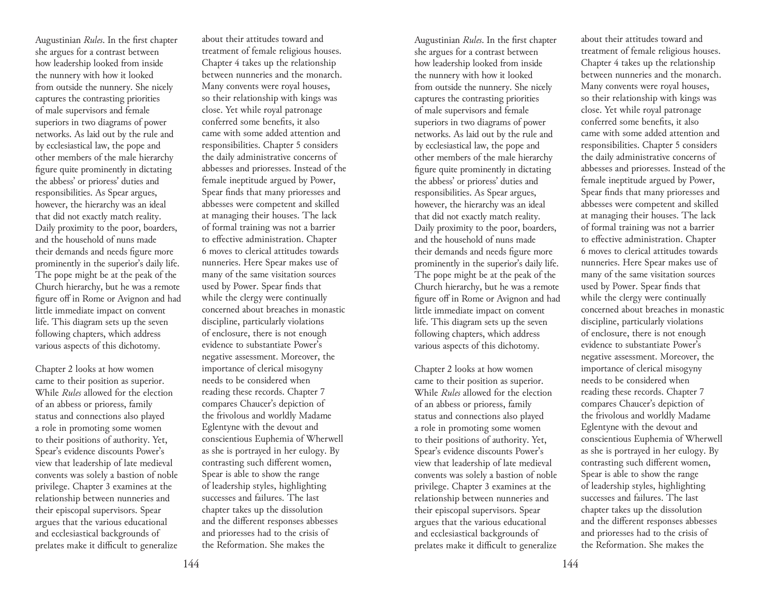Augustinian *Rules*. In the first chapter she argues for a contrast between how leadership looked from inside the nunnery with how it looked from outside the nunnery. She nicely captures the contrasting priorities of male supervisors and female superiors in two diagrams of power networks. As laid out by the rule and by ecclesiastical law, the pope and other members of the male hierarchy figure quite prominently in dictating the abbess' or prioress' duties and responsibilities. As Spear argues, however, the hierarchy was an ideal that did not exactly match reality. Daily proximity to the poor, boarders, and the household of nuns made their demands and needs figure more prominently in the superior's daily life. The pope might be at the peak of the Church hierarchy, but he was a remote figure off in Rome or Avignon and had little immediate impact on convent life. This diagram sets up the seven following chapters, which address various aspects of this dichotomy.

Chapter 2 looks at how women came to their position as superior. While *Rules* allowed for the election of an abbess or prioress, family status and connections also played a role in promoting some women to their positions of authority. Yet, Spear's evidence discounts Power's view that leadership of late medieval convents was solely a bastion of noble privilege. Chapter 3 examines at the relationship between nunneries and their episcopal supervisors. Spear argues that the various educational and ecclesiastical backgrounds of prelates make it difficult to generalize

about their attitudes toward and treatment of female religious houses. Chapter 4 takes up the relationship between nunneries and the monarch. Many convents were royal houses, so their relationship with kings was close. Yet while royal patronage conferred some benefits, it also came with some added attention and responsibilities. Chapter 5 considers the daily administrative concerns of abbesses and prioresses. Instead of the female ineptitude argued by Power, Spear finds that many prioresses and abbesses were competent and skilled at managing their houses. The lack of formal training was not a barrier to effective administration. Chapter 6 moves to clerical attitudes towards nunneries. Here Spear makes use of many of the same visitation sources used by Power. Spear finds that while the clergy were continually concerned about breaches in monastic discipline, particularly violations of enclosure, there is not enough evidence to substantiate Power's negative assessment. Moreover, the importance of clerical misogyny needs to be considered when reading these records. Chapter 7 compares Chaucer's depiction of the frivolous and worldly Madame Eglentyne with the devout and conscientious Euphemia of Wherwell as she is portrayed in her eulogy. By contrasting such different women, Spear is able to show the range of leadership styles, highlighting successes and failures. The last chapter takes up the dissolution and the different responses abbesses and prioresses had to the crisis of the Reformation. She makes the